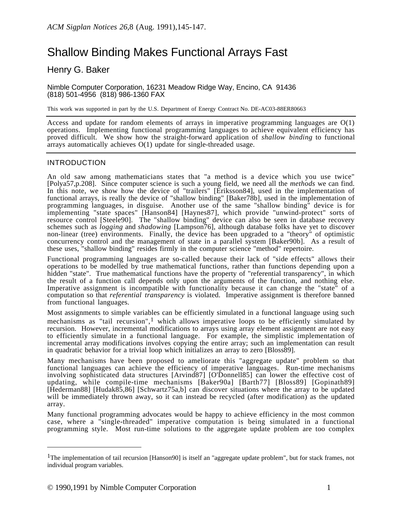# Shallow Binding Makes Functional Arrays Fast

# Henry G. Baker

Nimble Computer Corporation, 16231 Meadow Ridge Way, Encino, CA 91436 (818) 501-4956 (818) 986-1360 FAX

This work was supported in part by the U.S. Department of Energy Contract No. DE-AC03-88ER80663

Access and update for random elements of arrays in imperative programming languages are O(1) operations. Implementing functional programming languages to achieve equivalent efficiency has proved difficult. We show how the straight-forward application of *shallow binding* to functional arrays automatically achieves O(1) update for single-threaded usage.

## INTRODUCTION

An old saw among mathematicians states that "a method is a device which you use twice" [Polya57,p.208]. Since computer science is such a young field, we need all the *methods* we can find. In this note, we show how the device of "trailers" [Eriksson84], used in the implementation of functional arrays, is really the device of "shallow binding" [Baker78b], used in the implementation of programming languages, in disguise. Another use of the same "shallow binding" device is for implementing "state spaces" [Hanson84] [Haynes87], which provide "unwind-protect" sorts of resource control [Steele90]. The "shallow binding" device can also be seen in database recovery schemes such as *logging* and *shadowing* [Lampson76], although database folks have yet to discover non-linear (tree) environments. Finally, the device has been upgraded to a "theory" of optimistic concurrency control and the management of state in a parallel system [Baker90b]. As a result of these uses, "shallow binding" resides firmly in the computer science "method" repertoire.

Functional programming languages are so-called because their lack of "side effects" allows their operations to be modelled by true mathematical functions, rather than functions depending upon a hidden "state". True mathematical functions have the property of "referential transparency", in which the result of a function call depends only upon the arguments of the function, and nothing else. Imperative assignment is incompatible with functionality because it can change the "state" of a computation so that *referential transparency* is violated. Imperative assignment is therefore banned from functional languages.

Most assignments to simple variables can be efficiently simulated in a functional language using such mechanisms as "tail recursion",<sup>1</sup> which allows imperative loops to be efficiently simulated by recursion. However, incremental modifications to arrays using array element assignment are not easy to efficiently simulate in a functional language. For example, the simplistic implementation of incremental array modifications involves copying the entire array; such an implementation can result in quadratic behavior for a trivial loop which initializes an array to zero [Bloss89].

Many mechanisms have been proposed to ameliorate this "aggregate update" problem so that functional languages can achieve the efficiency of imperative languages. Run-time mechanisms involving sophisticated data structures [Arvind87] [O'Donnell85] can lower the effective cost of updating, while compile-time mechanisms [Baker90a] [Barth77] [Bloss89] [Gopinath89] [Hederman88] [Hudak85,86] [Schwartz75a,b] can discover situations where the array to be updated will be immediately thrown away, so it can instead be recycled (after modification) as the updated array.

Many functional programming advocates would be happy to achieve efficiency in the most common case, where a "single-threaded" imperative computation is being simulated in a functional programming style. Most run-time solutions to the aggregate update problem are too complex

<sup>1</sup>The implementation of tail recursion [Hanson90] is itself an "aggregate update problem", but for stack frames, not individual program variables.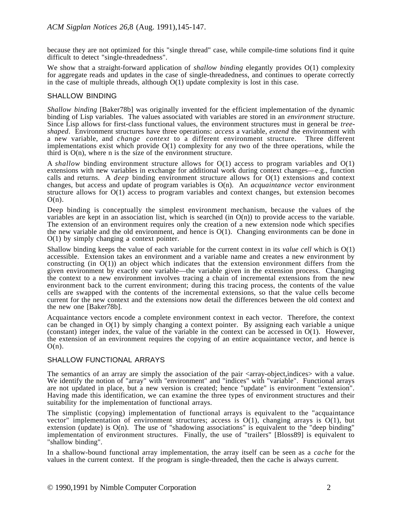because they are not optimized for this "single thread" case, while compile-time solutions find it quite difficult to detect "single-threadedness".

We show that a straight-forward application of *shallow binding* elegantly provides O(1) complexity for aggregate reads and updates in the case of single-threadedness, and continues to operate correctly in the case of multiple threads, although  $O(1)$  update complexity is lost in this case.

#### SHALLOW BINDING

*Shallow binding* [Baker78b] was originally invented for the efficient implementation of the dynamic binding of Lisp variables. The values associated with variables are stored in an *environment* structure. Since Lisp allows for first-class functional values, the environment structures must in general be *treeshaped*. Environment structures have three operations: *access* a variable, *extend* the environment with a new variable, and *change context* to a different environment structure. Three different implementations exist which provide O(1) complexity for any two of the three operations, while the third is  $O(n)$ , where n is the size of the environment structure.

A *shallow* binding environment structure allows for O(1) access to program variables and O(1) extensions with new variables in exchange for additional work during context changes—e.g., function calls and returns. A *deep* binding environment structure allows for O(1) extensions and context changes, but access and update of program variables is O(n). An *acquaintance vector* environment structure allows for  $O(1)$  access to program variables and context changes, but extension becomes  $O(n)$ .

Deep binding is conceptually the simplest environment mechanism, because the values of the variables are kept in an association list, which is searched (in  $O(n)$ ) to provide access to the variable. The extension of an environment requires only the creation of a new extension node which specifies the new variable and the old environment, and hence is O(1). Changing environments can be done in O(1) by simply changing a context pointer.

Shallow binding keeps the value of each variable for the current context in its *value cell* which is O(1) accessible. Extension takes an environment and a variable name and creates a new environment by constructing (in O(1)) an object which indicates that the extension environment differs from the given environment by exactly one variable—the variable given in the extension process. Changing the context to a new environment involves tracing a chain of incremental extensions from the new environment back to the current environment; during this tracing process, the contents of the value cells are swapped with the contents of the incremental extensions, so that the value cells become current for the new context and the extensions now detail the differences between the old context and the new one [Baker78b].

Acquaintance vectors encode a complete environment context in each vector. Therefore, the context can be changed in O(1) by simply changing a context pointer. By assigning each variable a unique (constant) integer index, the value of the variable in the context can be accessed in  $O(1)$ . However, the extension of an environment requires the copying of an entire acquaintance vector, and hence is  $O(n)$ .

## SHALLOW FUNCTIONAL ARRAYS

The semantics of an array are simply the association of the pair  $\langle \text{array-objective} \rangle$  with a value. We identify the notion of "array" with "environment" and "indices" with "variable". Functional arrays are not updated in place, but a new version is created; hence "update" is environment "extension". Having made this identification, we can examine the three types of environment structures and their suitability for the implementation of functional arrays.

The simplistic (copying) implementation of functional arrays is equivalent to the "acquaintance vector" implementation of environment structures; access is  $O(1)$ , changing arrays is  $O(1)$ , but extension (update) is  $O(n)$ . The use of "shadowing associations" is equivalent to the "deep binding" implementation of environment structures. Finally, the use of "trailers" [Bloss89] is equivalent to "shallow binding".

In a shallow-bound functional array implementation, the array itself can be seen as a *cache* for the values in the current context. If the program is single-threaded, then the cache is always current.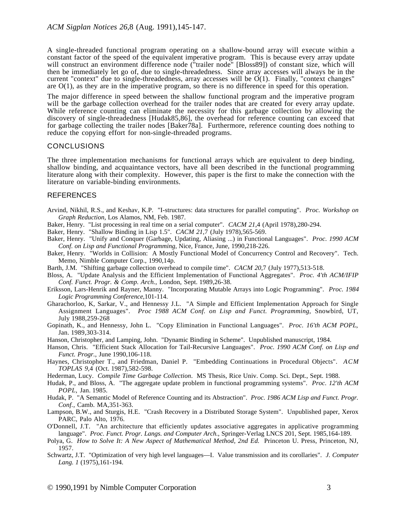A single-threaded functional program operating on a shallow-bound array will execute within a constant factor of the speed of the equivalent imperative program. This is because every array update will construct an environment difference node ("trailer node" [Bloss89]) of constant size, which will then be immediately let go of, due to single-threadedness. Since array accesses will always be in the current "context" due to single-threadedness, array accesses will be  $O(1)$ . Finally, "context changes" are O(1), as they are in the imperative program, so there is no difference in speed for this operation.

The major difference in speed between the shallow functional program and the imperative program will be the garbage collection overhead for the trailer nodes that are created for every array update. While reference counting can eliminate the necessity for this garbage collection by allowing the discovery of single-threadedness [Hudak85,86], the overhead for reference counting can exceed that for garbage collecting the trailer nodes [Baker78a]. Furthermore, reference counting does nothing to reduce the copying effort for non-single-threaded programs.

#### CONCLUSIONS

The three implementation mechanisms for functional arrays which are equivalent to deep binding, shallow binding, and acquaintance vectors, have all been described in the functional programming literature along with their complexity. However, this paper is the first to make the connection with the literature on variable-binding environments.

#### REFERENCES

- Arvind, Nikhil, R.S., and Keshav, K.P. "I-structures: data structures for parallel computing". *Proc. Workshop on Graph Reduction*, Los Alamos, NM, Feb. 1987.
- Baker, Henry. "List processing in real time on a serial computer". *CACM 21*,4 (April 1978),280-294.
- Baker, Henry. "Shallow Binding in Lisp 1.5". *CACM 21*,7 (July 1978),565-569.
- Baker, Henry. "Unify and Conquer (Garbage, Updating, Aliasing ...) in Functional Languages". *Proc. 1990 ACM Conf. on Lisp and Functional Programming*, Nice, France, June, 1990,218-226.
- Baker, Henry. "Worlds in Collision: A Mostly Functional Model of Concurrency Control and Recovery". Tech. Memo, Nimble Computer Corp., 1990,14p.
- Barth, J.M. "Shifting garbage collection overhead to compile time". *CACM 20*,7 (July 1977),513-518.
- Bloss, A. "Update Analysis and the Efficient Implementation of Functional Aggregates". *Proc. 4'th ACM/IFIP Conf. Funct. Progr. & Comp. Arch.*, London, Sept. 1989,26-38.
- Eriksson, Lars-Henrik and Rayner, Manny. "Incorporating Mutable Arrays into Logic Programming". *Proc. 1984 Logic Programming Conference*,101-114.
- Gharachorloo, K, Sarkar, V., and Hennessy J.L. "A Simple and Efficient Implementation Approach for Single Assignment Languages". *Proc 1988 ACM Conf. on Lisp and Funct. Programming*, Snowbird, UT, July 1988,259-268
- Gopinath, K., and Hennessy, John L. "Copy Elimination in Functional Languages". *Proc. 16'th ACM POPL*, Jan. 1989,303-314.
- Hanson, Christopher, and Lamping, John. "Dynamic Binding in Scheme". Unpublished manuscript, 1984.
- Hanson, Chris. "Efficient Stack Allocation for Tail-Recursive Languages". *Proc. 1990 ACM Conf. on Lisp and Funct. Progr.*, June 1990,106-118.
- Haynes, Christopher T., and Friedman, Daniel P. "Embedding Continuations in Procedural Objects". *ACM TOPLAS 9*,4 (Oct. 1987),582-598.
- Hederman, Lucy. *Compile Time Garbage Collection*. MS Thesis, Rice Univ. Comp. Sci. Dept., Sept. 1988.
- Hudak, P., and Bloss, A. "The aggregate update problem in functional programming systems". *Proc. 12'th ACM POPL*, Jan. 1985.
- Hudak, P. "A Semantic Model of Reference Counting and its Abstraction". *Proc. 1986 ACM Lisp and Funct. Progr. Conf.*, Camb. MA,351-363.
- Lampson, B.W., and Sturgis, H.E. "Crash Recovery in a Distributed Storage System". Unpublished paper, Xerox PARC, Palo Alto, 1976.
- O'Donnell, J.T. "An architecture that efficiently updates associative aggregates in applicative programming language". *Proc. Funct. Progr. Langs. and Computer Arch.*, Springer-Verlag LNCS 201, Sept. 1985,164-189.
- Polya, G. *How to Solve It: A New Aspect of Mathematical Method, 2nd Ed.* Princeton U. Press, Princeton, NJ, 1957.
- Schwartz, J.T. "Optimization of very high level languages—I. Value transmission and its corollaries". *J. Computer Lang. 1* (1975),161-194.